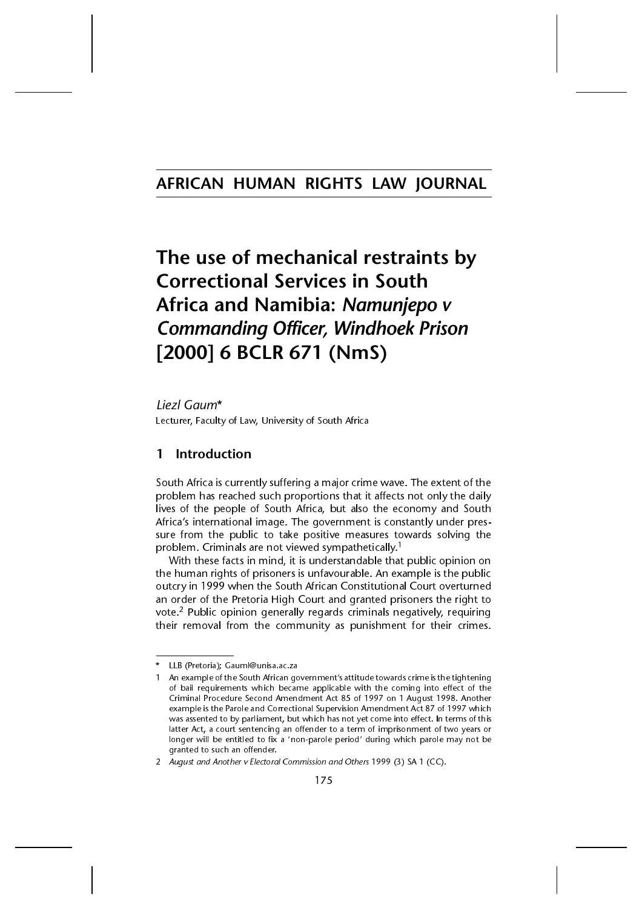## AFRICAN HUMAN RIGHTS LAW JOURNAL

# The use of mechanical restraints by **Correctional Services in South** Africa and Namibia: *Namunjepo v* **Commanding Officer, Windhoek Prison** [2000] 6 BCLR 671 (NmS)

Liezl Gaum\* Lecturer, Faculty of Law, University of South Africa

### 1 Introduction

South Africa is currently suffering a major crime wave. The extent of the problem has reached such proportions that it affects not only the daily lives of the people of South Africa, but also the economy and South Africa's international image. The government is constantly under pressure from the public to take positive measures towards solving the problem. Criminals are not viewed sympathetically.<sup>1</sup>

With these facts in mind, it is understandable that public opinion on the human rights of prisoners is unfavourable. An example is the public outcry in 1999 when the South African Constitutional Court overturned an order of the Pretoria High Court and granted prisoners the right to vote.<sup>2</sup> Public opinion generally regards criminals negatively, requiring their removal from the community as punishment for their crimes.

LLB (Pretoria); Gauml@unisa.ac.za

An example of the South African government's attitude towards crime is the tightening of bail requirements which became applicable with the coming into effect of the Criminal Procedure Second Amendment Act 85 of 1997 on 1 August 1998. Another example is the Parole and Correctional Supervision Amendment Act 87 of 1997 which was assented to by parliament, but which has not yet come into effect. In terms of this latter Act, a court sentencing an offender to a term of imprisonment of two years or longer will be entitled to fix a 'non-parole period' during which parole may not be granted to such an offender.

<sup>2</sup> August and Another v Electoral Commission and Others 1999 (3) SA 1 (CC).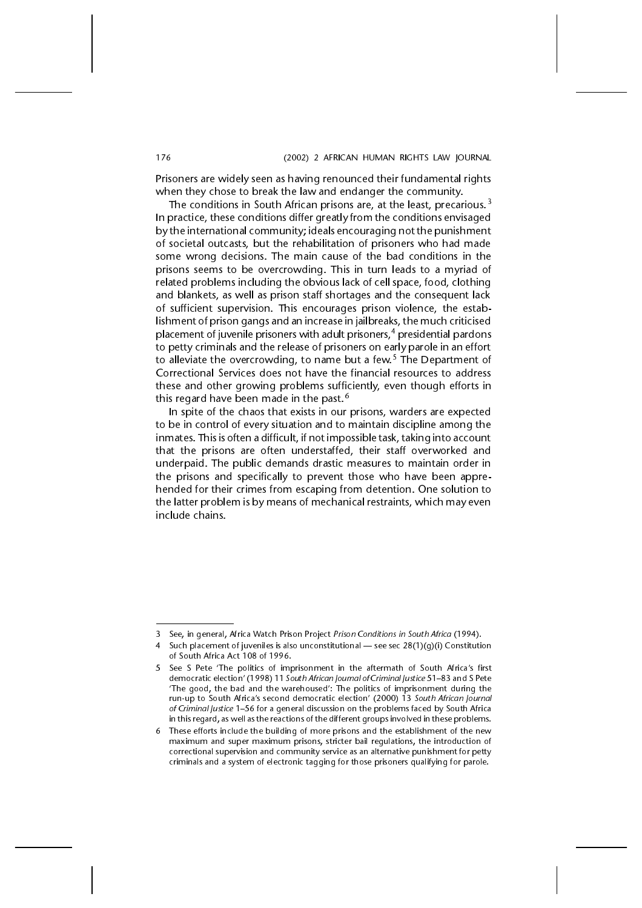Prisoners are widely seen as having renounced their fundamental rights when they chose to break the law and endanger the community.

The conditions in South African prisons are, at the least, precarious.<sup>3</sup> In practice, these conditions differ greatly from the conditions envisaged by the international community; ideals encouraging not the punishment of societal outcasts, but the rehabilitation of prisoners who had made some wrong decisions. The main cause of the bad conditions in the prisons seems to be overcrowding. This in turn leads to a myriad of related problems including the obvious lack of cell space, food, clothing and blankets, as well as prison staff shortages and the consequent lack of sufficient supervision. This encourages prison violence, the establishment of prison gangs and an increase in jailbreaks, the much criticised placement of juvenile prisoners with adult prisoners,<sup>4</sup> presidential pardons to petty criminals and the release of prisoners on early parole in an effort to alleviate the overcrowding, to name but a few.<sup>5</sup> The Department of Correctional Services does not have the financial resources to address these and other growing problems sufficiently, even though efforts in this regard have been made in the past.<sup>6</sup>

In spite of the chaos that exists in our prisons, warders are expected to be in control of every situation and to maintain discipline among the inmates. This is often a difficult, if not impossible task, taking into account that the prisons are often understaffed, their staff overworked and underpaid. The public demands drastic measures to maintain order in the prisons and specifically to prevent those who have been apprehended for their crimes from escaping from detention. One solution to the latter problem is by means of mechanical restraints, which may even include chains.

<sup>3</sup> See, in general, Africa Watch Prison Project Prison Conditions in South Africa (1994).

Such placement of juveniles is also unconstitutional  $-$  see sec 28(1)(g)(i) Constitution of South Africa Act 108 of 1996.

<sup>5</sup> See S Pete 'The politics of imprisonment in the aftermath of South Africa's first democratic election' (1998) 11 South African Journal of Criminal Justice 51-83 and S Pete The good, the bad and the warehoused: The politics of imprisonment during the run-up to South Africa's second democratic election' (2000) 13 South African Journal of Criminal Justice 156 for a general discussion on the problems faced by South Africa in this regard, as well as the reactions of the different groups involved in these problems.

<sup>6</sup> These efforts include the building of more prisons and the establishment of the new maximum and super maximum prisons, stricter bail regulations, the introduction of correctional supervision and community service as an alternative punishment for petty criminals and a system of electronic tagging for those prisoners qualifying for parole.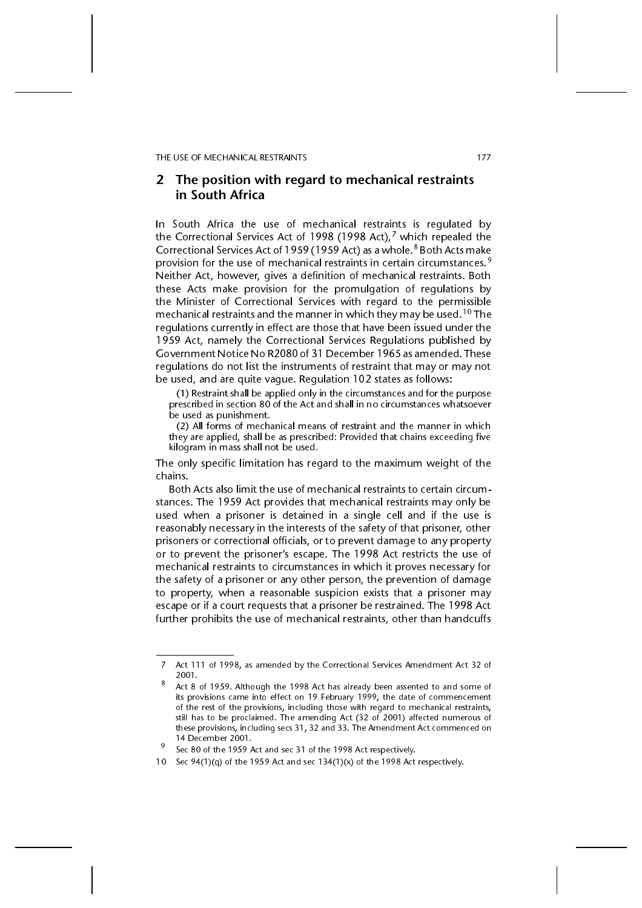### 2 The position with regard to mechanical restraints in South Africa

In South Africa the use of mechanical restraints is regulated by the Correctional Services Act of 1998 (1998 Act),<sup>7</sup> which repealed the Correctional Services Act of 1959 (1959 Act) as a whole.<sup>8</sup> Both Acts make provision for the use of mechanical restraints in certain circumstances.<sup>9</sup> Neither Act, however, gives a definition of mechanical restraints. Both these Acts make provision for the promulgation of regulations by the Minister of Correctional Services with regard to the permissible mechanical restraints and the manner in which they may be used.<sup>10</sup> The regulations currently in effect are those that have been issued under the 1959 Act, namely the Correctional Services Regulations published by Government Notice No R2080 of 31 December 1965 as amended. These regulations do not list the instruments of restraint that may or may not be used, and are quite vague. Regulation 102 states as follows:

(1) Restraint shall be applied only in the circumstances and for the purpose prescribed in section 80 of the Act and shall in no circumstances whatsoever be used as punishment.

(2) All forms of mechanical means of restraint and the manner in which they are applied, shall be as prescribed: Provided that chains exceeding five kilogram in mass shall not be used.

The only specific limitation has regard to the maximum weight of the chains.

Both Acts also limit the use of mechanical restraints to certain circumstances. The 1959 Act provides that mechanical restraints may only be used when a prisoner is detained in a single cell and if the use is reasonably necessary in the interests of the safety of that prisoner, other prisoners or correctional officials, or to prevent damage to any property or to prevent the prisoner's escape. The 1998 Act restricts the use of mechanical restraints to circumstances in which it proves necessary for the safety of a prisoner or any other person, the prevention of damage to property, when a reasonable suspicion exists that a prisoner may escape or if a court requests that a prisoner be restrained. The 1998 Act further prohibits the use of mechanical restraints, other than handcuffs

<sup>7</sup> Act 111 of 1998, as amended by the Correctional Services Amendment Act 32 of 2001.<br>Act 8 of 1959. Although the 1998 Act has already been assented to and some of

its provisions came into effect on 19 February 1999, the date of commencement of the rest of the provisions, including those with regard to mechanical restraints, still has to be proclaimed. The amending Act (32 of 2001) affected numerous of these provisions, including secs 31, 32 and 33. The Amendment Act commenced on 14 December 2001.<br>Sec 80 of the 1959 Act and sec 31 of the 1998 Act respectively.

<sup>10</sup> Sec  $94(1)(q)$  of the 1959 Act and sec  $134(1)(x)$  of the 1998 Act respectively.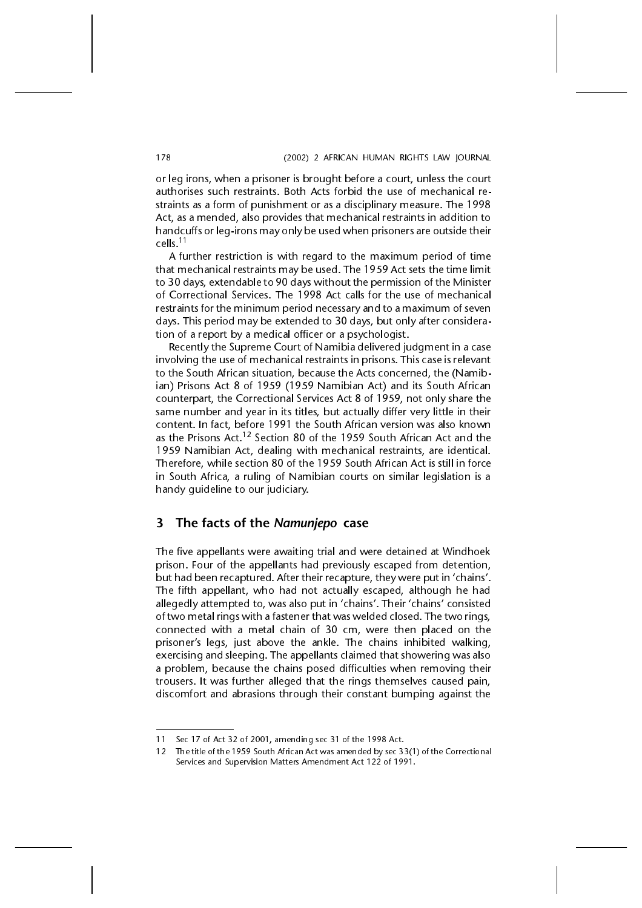or leg irons, when a prisoner is brought before a court, unless the court authorises such restraints. Both Acts forbid the use of mechanical restraints as a form of punishment or as a disciplinary measure. The 1998 Act, as a mended, also provides that mechanical restraints in addition to handcuffs or leg-irons may only be used when prisoners are outside their cells.11

A further restriction is with regard to the maximum period of time that mechanical restraints may be used. The 1959 Act sets the time limit to 30 days, extendable to 90 days without the permission of the Minister of Correctional Services. The 1998 Act calls for the use of mechanical restraints for the minimum period necessary and to a maximum of seven days. This period may be extended to 30 days, but only after consideration of a report by a medical officer or a psychologist.

Recently the Supreme Court of Namibia delivered judgment in a case involving the use of mechanical restraints in prisons. This case is relevant to the South African situation, because the Acts concerned, the (Namibian) Prisons Act 8 of 1959 (1959 Namibian Act) and its South African counterpart, the Correctional Services Act 8 of 1959, not only share the same number and year in its titles, but actually differ very little in their content. In fact, before 1991 the South African version was also known as the Prisons Act.<sup>12</sup> Section 80 of the 1959 South African Act and the 1959 Namibian Act, dealing with mechanical restraints, are identical. Therefore, while section 80 of the 1959 South African Act is still in force in South Africa, a ruling of Namibian courts on similar legislation is a handy guideline to our judiciary.

### 3 The facts of the Namunjepo case

The five appellants were awaiting trial and were detained at Windhoek prison. Four of the appellants had previously escaped from detention, but had been recaptured. After their recapture, they were put in 'chains'. The fifth appellant, who had not actually escaped, although he had allegedly attempted to, was also put in 'chains'. Their 'chains' consisted of two metal rings with a fastener that was welded closed. The two rings, connected with a metal chain of 30 cm, were then placed on the prisoner's legs, just above the ankle. The chains inhibited walking, exercising and sleeping. The appellants claimed that showering was also a problem, because the chains posed difficulties when removing their trousers. It was further alleged that the rings themselves caused pain, discomfort and abrasions through their constant bumping against the

<sup>11</sup> Sec 17 of Act 32 of 2001, amending sec 31 of the 1998 Act.

<sup>12</sup> The title of the 1959 South African Act was amended by sec 33(1) of the Correctional Services and Supervision Matters Amendment Act 122 of 1991.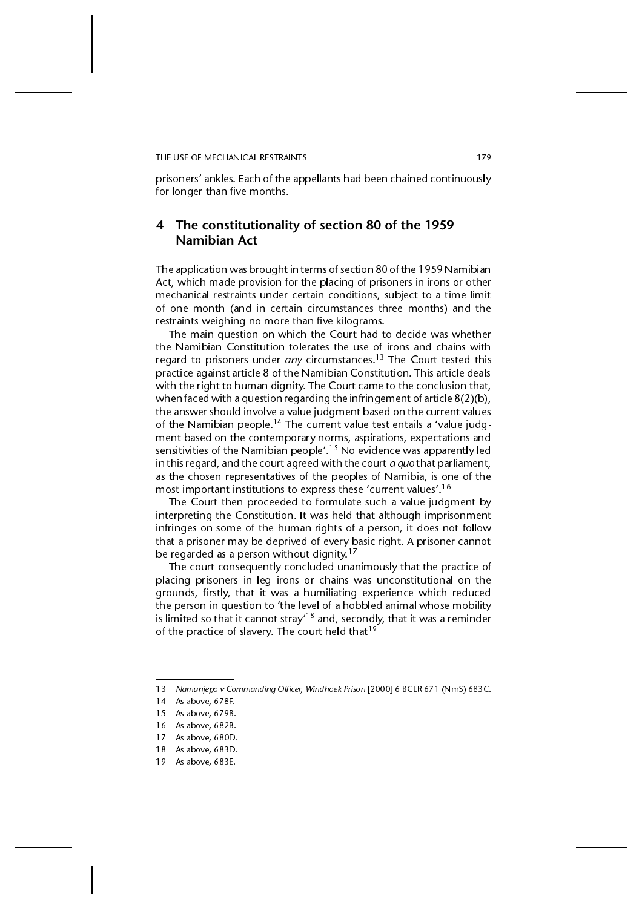prisoners' ankles. Each of the appellants had been chained continuously for longer than five months.

### 4 The constitutionality of section 80 of the 1959 Namibian Act

The application was brought in terms of section 80 of the 1959 Namibian Act, which made provision for the placing of prisoners in irons or other mechanical restraints under certain conditions, subject to a time limit of one month (and in certain circumstances three months) and the restraints weighing no more than five kilograms.

The main question on which the Court had to decide was whether the Namibian Constitution tolerates the use of irons and chains with regard to prisoners under any circumstances.<sup>13</sup> The Court tested this practice against article 8 of the Namibian Constitution. This article deals with the right to human dignity. The Court came to the conclusion that, when faced with a question regarding the infringement of article 8(2)(b), the answer should involve a value judgment based on the current values of the Namibian people.<sup>14</sup> The current value test entails a 'value judgment based on the contemporary norms, aspirations, expectations and sensitivities of the Namibian people'.<sup>15</sup> No evidence was apparently led in this regard, and the court agreed with the court  $a$  quo that parliament, as the chosen representatives of the peoples of Namibia, is one of the most important institutions to express these 'current values'.<sup>16</sup>

The Court then proceeded to formulate such a value judgment by interpreting the Constitution. It was held that although imprisonment infringes on some of the human rights of a person, it does not follow that a prisoner may be deprived of every basic right. A prisoner cannot be regarded as a person without dignity.<sup>17</sup>

The court consequently concluded unanimously that the practice of placing prisoners in leg irons or chains was unconstitutional on the grounds, firstly, that it was a humiliating experience which reduced the person in question to 'the level of a hobbled animal whose mobility is limited so that it cannot stray<sup>18</sup> and, secondly, that it was a reminder of the practice of slavery. The court held that<sup>19</sup>

<sup>13</sup> Namunjepo v Commanding Officer, Windhoek Prison [2000] 6 BCLR 671 (NmS) 683C.

<sup>14</sup> As above, 678F.

<sup>15</sup> As above, 679B.

<sup>16</sup> As above, 682B.

<sup>17</sup> As above, 680D.

<sup>18</sup> As above, 683D.

<sup>19</sup> As above, 683E.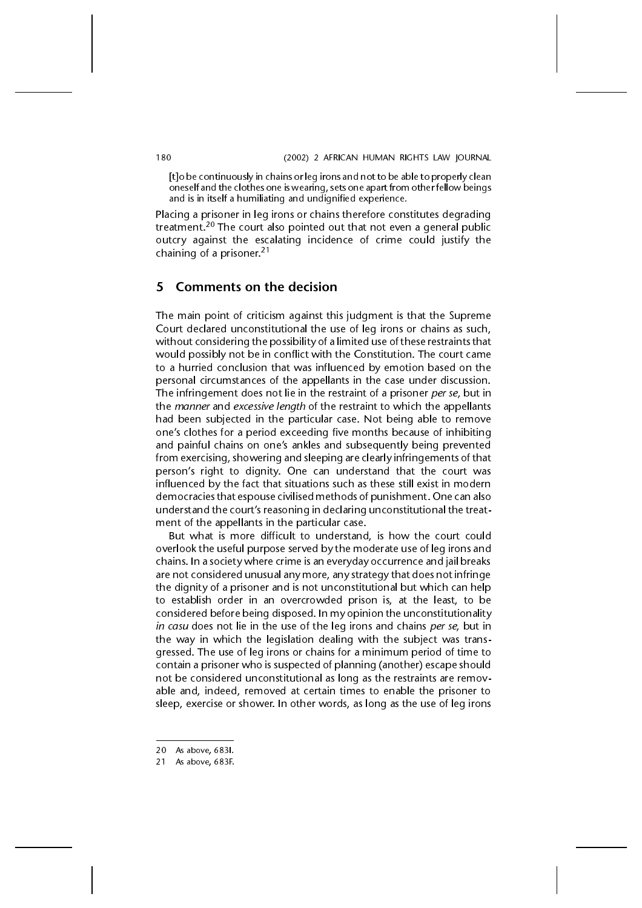[t]o be continuously in chains or leg irons and not to be able to properly clean oneself and the clothes one is wearing, sets one apart from other fellow beings and is in itself a humiliating and undignified experience.

Placing a prisoner in leg irons or chains therefore constitutes degrading treatment.<sup>20</sup> The court also pointed out that not even a general public outcry against the escalating incidence of crime could justify the chaining of a prisoner.<sup>21</sup>

### 5 Comments on the decision

The main point of criticism against this judgment is that the Supreme Court declared unconstitutional the use of leg irons or chains as such, without considering the possibility of a limited use of these restraints that would possibly not be in conflict with the Constitution. The court came to a hurried conclusion that was influenced by emotion based on the personal circumstances of the appellants in the case under discussion. The infringement does not lie in the restraint of a prisoner per se, but in the manner and excessive length of the restraint to which the appellants had been subjected in the particular case. Not being able to remove one's clothes for a period exceeding five months because of inhibiting and painful chains on one's ankles and subsequently being prevented from exercising, showering and sleeping are clearly infringements of that person's right to dignity. One can understand that the court was influenced by the fact that situations such as these still exist in modern democracies that espouse civilised methods of punishment. One can also understand the court's reasoning in declaring unconstitutional the treatment of the appellants in the particular case.

But what is more difficult to understand, is how the court could overlook the useful purpose served by the moderate use of leg irons and chains. In a society where crime is an everyday occurrence and jail breaks are not considered unusual any more, any strategy that does not infringe the dignity of a prisoner and is not unconstitutional but which can help to establish order in an overcrowded prison is, at the least, to be considered before being disposed. In my opinion the unconstitutionality in casu does not lie in the use of the leg irons and chains per se, but in the way in which the legislation dealing with the subject was transgressed. The use of leg irons or chains for a minimum period of time to contain a prisoner who is suspected of planning (another) escape should not be considered unconstitutional as long as the restraints are removable and, indeed, removed at certain times to enable the prisoner to sleep, exercise or shower. In other words, as long as the use of leg irons

<sup>20</sup> As above, 683I.

<sup>21</sup> As above, 683F.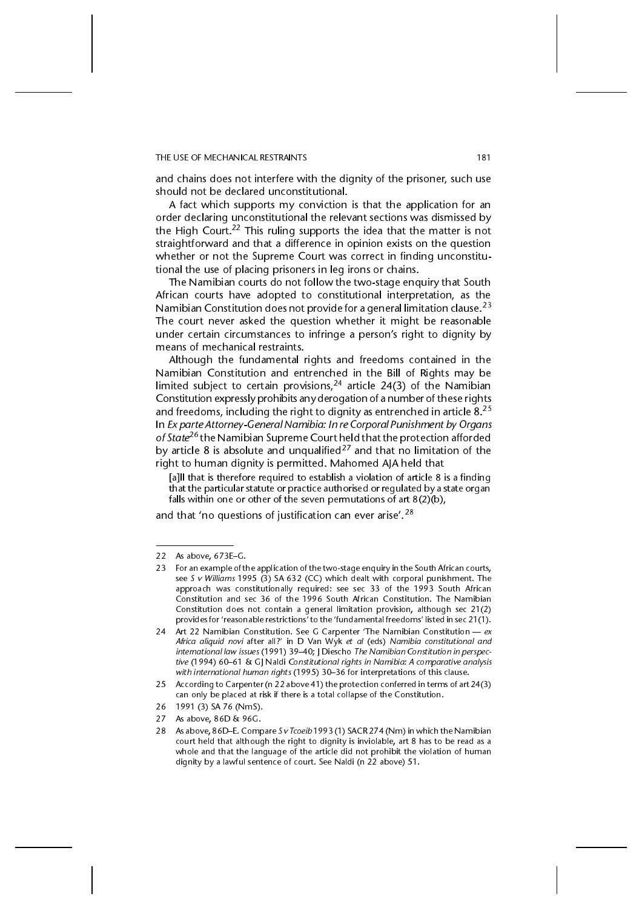#### THE USE OF MECHANICAL RESTRAINTS 181

and chains does not interfere with the dignity of the prisoner, such use should not be declared unconstitutional.

A fact which supports my conviction is that the application for an order declaring unconstitutional the relevant sections was dismissed by the High Court.<sup>22</sup> This ruling supports the idea that the matter is not straightforward and that a difference in opinion exists on the question whether or not the Supreme Court was correct in finding unconstitutional the use of placing prisoners in leg irons or chains.

The Namibian courts do not follow the two-stage enquiry that South African courts have adopted to constitutional interpretation, as the Namibian Constitution does not provide for a general limitation clause.<sup>23</sup> The court never asked the question whether it might be reasonable under certain circumstances to infringe a person's right to dignity by means of mechanical restraints.

Although the fundamental rights and freedoms contained in the Namibian Constitution and entrenched in the Bill of Rights may be limited subject to certain provisions,  $24$  article 24(3) of the Namibian Constitution expressly prohibits any derogation of a number of these rights and freedoms, including the right to dignity as entrenched in article  $8^{25}$ In Ex parte Attorney-General Namibia: In re Corporal Punishment by Organs of State<sup>26</sup> the Namibian Supreme Court held that the protection afforded by article 8 is absolute and unqualified<sup>27</sup> and that no limitation of the right to human dignity is permitted. Mahomed AJA held that

[a]ll that is therefore required to establish a violation of article 8 is a finding that the particular statute or practice authorised or regulated by a state organ falls within one or other of the seven permutations of art 8(2)(b),

and that 'no questions of justification can ever arise'.<sup>28</sup>

<sup>22</sup> As above,  $673E-G$ .

<sup>23</sup> For an example of the application of the two-stage enquiry in the South African courts, see S v Williams 1995 (3) SA 632 (CC) which dealt with corporal punishment. The approach was constitutionally required: see sec 33 of the 1993 South African Constitution and sec 36 of the 1996 South African Constitution. The Namibian Constitution does not contain a general limitation provision, although sec 21(2) provides for 'reasonable restrictions' to the 'fundamental freedoms' listed in sec 21(1).

<sup>24</sup> Art 22 Namibian Constitution. See G Carpenter 'The Namibian Constitution  $- e x$ Africa aliquid novi after all?' in D Van Wyk et al (eds) Namibia constitutional and international law issues (1991) 39–40; J Diescho The Namibian Constitution in perspective (1994) 60-61 & GJ Naldi Constitutional rights in Namibia: A comparative analysis with international human rights (1995) 30–36 for interpretations of this clause.

<sup>25</sup> According to Carpenter (n 22 above 41) the protection conferred in terms of art 24(3) can only be placed at risk if there is a total collapse of the Constitution.

<sup>26 1991 (3)</sup> SA 76 (NmS).

<sup>27</sup> As above, 86D & 96G.

<sup>28</sup> As above, 86D-E. Compare S v Tcoeib 1993 (1) SACR 274 (Nm) in which the Namibian court held that although the right to dignity is inviolable, art 8 has to be read as a whole and that the language of the article did not prohibit the violation of human dignity by a lawful sentence of court. See Naldi (n 22 above) 51.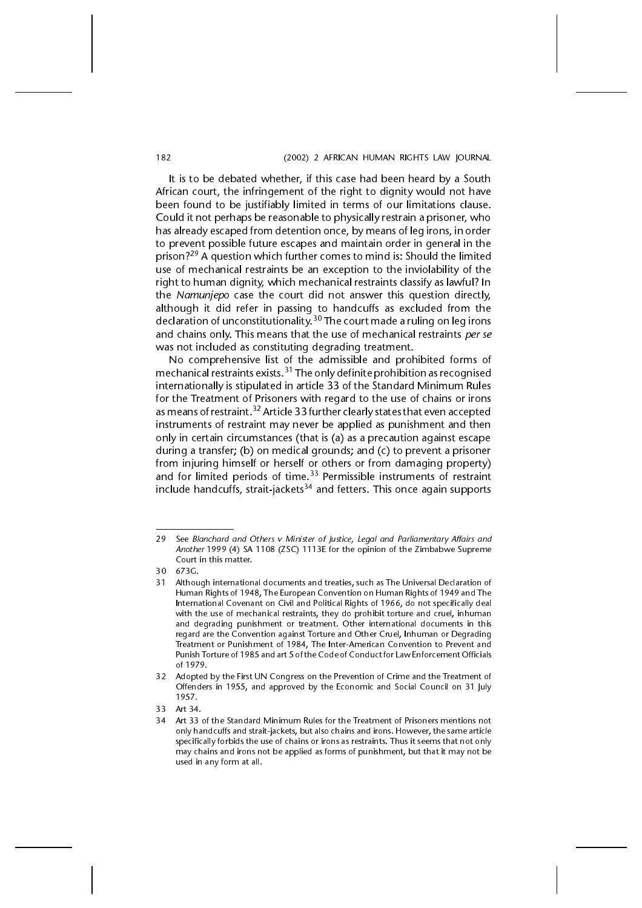It is to be debated whether, if this case had been heard by a South African court, the infringement of the right to dignity would not have been found to be justifiably limited in terms of our limitations clause. Could it not perhaps be reasonable to physically restrain a prisoner, who has already escaped from detention once, by means of leg irons, in order to prevent possible future escapes and maintain order in general in the prison?29 A question which further comes to mind is: Should the limited use of mechanical restraints be an exception to the inviolability of the right to human dignity, which mechanical restraints classify as lawful? In the Namunjepo case the court did not answer this question directly, although it did refer in passing to handcuffs as excluded from the declaration of unconstitutionality.  $^{30}$  The court made a ruling on leg irons and chains only. This means that the use of mechanical restraints per se was not included as constituting degrading treatment.

No comprehensive list of the admissible and prohibited forms of mechanical restraints exists.<sup>31</sup> The only definite prohibition as recognised internationally is stipulated in article 33 of the Standard Minimum Rules for the Treatment of Prisoners with regard to the use of chains or irons as means of restraint.<sup>32</sup> Article 33 further clearly states that even accepted instruments of restraint may never be applied as punishment and then only in certain circumstances (that is (a) as a precaution against escape during a transfer; (b) on medical grounds; and (c) to prevent a prisoner from injuring himself or herself or others or from damaging property) and for limited periods of time.<sup>33</sup> Permissible instruments of restraint include handcuffs, strait-jackets<sup>34</sup> and fetters. This once again supports

<sup>29</sup> See Blanchard and Others v Minister of Justice, Legal and Parliamentary Affairs and Another 1999 (4) SA 1108 (ZSC) 1113E for the opinion of the Zimbabwe Supreme Court in this matter.

<sup>30 673</sup>G.

<sup>31</sup> Although international documents and treaties, such as The Universal Declaration of Human Rights of 1948, The European Convention on Human Rights of 1949 and The International Covenant on Civil and Political Rights of 1966, do not specifically deal with the use of mechanical restraints, they do prohibit torture and cruel, inhuman and degrading punishment or treatment. Other international documents in this regard are the Convention against Torture and Other Cruel, Inhuman or Degrading Treatment or Punishment of 1984, The Inter-American Convention to Prevent and Punish Torture of 1985 and art 5 of the Code of Conduct for Law Enforcement Officials of 1979.

<sup>32</sup> Adopted by the First UN Congress on the Prevention of Crime and the Treatment of Offenders in 1955, and approved by the Economic and Social Council on 31 July 1957.

<sup>33</sup> Art 34.

<sup>34</sup> Art 33 of the Standard Minimum Rules for the Treatment of Prisoners mentions not only handcuffs and strait-jackets, but also chains and irons. However, the same article specifically forbids the use of chains or irons as restraints. Thus it seems that not only may chains and irons not be applied as forms of punishment, but that it may not be used in any form at all.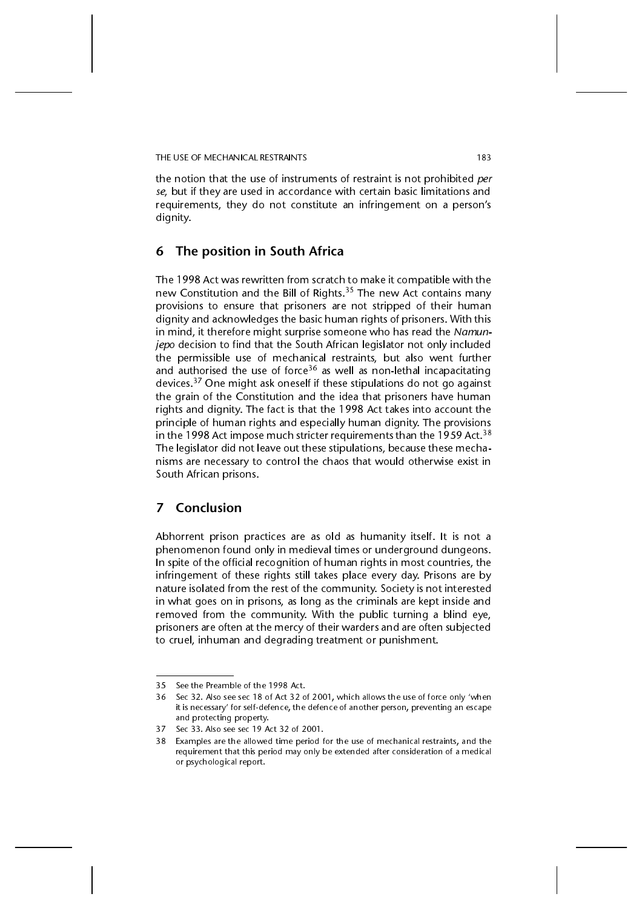THE USE OF MECHANICAL RESTRAINTS 183

the notion that the use of instruments of restraint is not prohibited per se, but if they are used in accordance with certain basic limitations and requirements, they do not constitute an infringement on a person's dignity.

### 6 The position in South Africa

The 1998 Act was rewritten from scratch to make it compatible with the new Constitution and the Bill of Rights.<sup>35</sup> The new Act contains many provisions to ensure that prisoners are not stripped of their human dignity and acknowledges the basic human rights of prisoners. With this in mind, it therefore might surprise someone who has read the Namunjepo decision to find that the South African legislator not only included the permissible use of mechanical restraints, but also went further and authorised the use of force<sup>36</sup> as well as non-lethal incapacitating devices.37 One might ask oneself if these stipulations do not go against the grain of the Constitution and the idea that prisoners have human rights and dignity. The fact is that the 1998 Act takes into account the principle of human rights and especially human dignity. The provisions in the 1998 Act impose much stricter requirements than the 1959 Act.  $38$ The legislator did not leave out these stipulations, because these mechanisms are necessary to control the chaos that would otherwise exist in South African prisons.

### 7 Conclusion

Abhorrent prison practices are as old as humanity itself. It is not a phenomenon found only in medieval times or underground dungeons. In spite of the official recognition of human rights in most countries, the infringement of these rights still takes place every day. Prisons are by nature isolated from the rest of the community. Society is not interested in what goes on in prisons, as long as the criminals are kept inside and removed from the community. With the public turning a blind eye, prisoners are often at the mercy of their warders and are often subjected to cruel, inhuman and degrading treatment or punishment.

<sup>35</sup> See the Preamble of the 1998 Act.

<sup>36</sup> Sec 32. Also see sec 18 of Act 32 of 2001, which allows the use of force only when it is necessary' for self-defence, the defence of another person, preventing an escape and protecting property.

<sup>37</sup> Sec 33. Also see sec 19 Act 32 of 2001.

<sup>38</sup> Examples are the allowed time period for the use of mechanical restraints, and the requirement that this period may only be extended after consideration of a medical or psychological report.